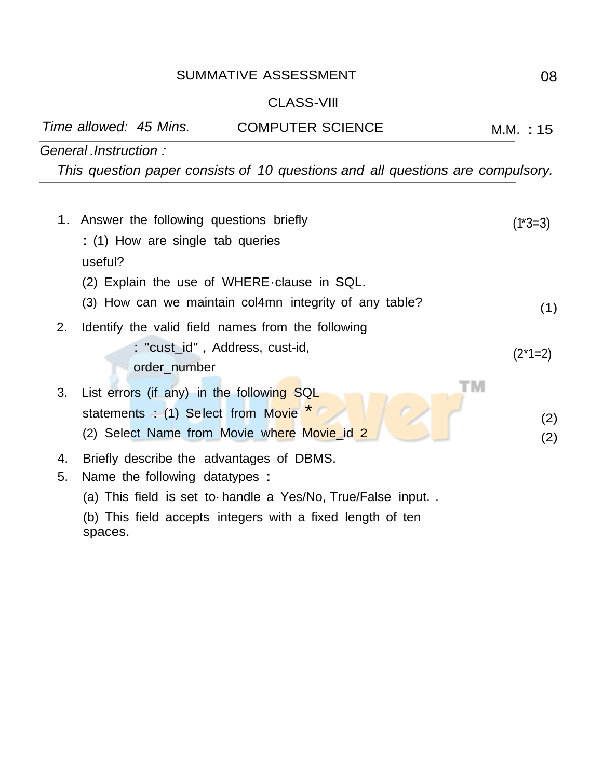## SUMMATIVE ASSESSMENT 08

## CLASS-VIll

|    |                                                                                                                          | Time allowed: 45 Mins.             | <b>COMPUTER SCIENCE</b>                                                        | M.M. : 15  |  |  |
|----|--------------------------------------------------------------------------------------------------------------------------|------------------------------------|--------------------------------------------------------------------------------|------------|--|--|
|    | General Instruction:                                                                                                     |                                    |                                                                                |            |  |  |
|    |                                                                                                                          |                                    | This question paper consists of 10 questions and all questions are compulsory. |            |  |  |
|    |                                                                                                                          |                                    |                                                                                |            |  |  |
|    | 1. Answer the following questions briefly                                                                                | (1*3=3)                            |                                                                                |            |  |  |
|    | : (1) How are single tab queries                                                                                         |                                    |                                                                                |            |  |  |
|    | useful?                                                                                                                  |                                    |                                                                                |            |  |  |
|    | (2) Explain the use of WHERE clause in SQL.                                                                              |                                    |                                                                                |            |  |  |
|    |                                                                                                                          |                                    | (3) How can we maintain col4mn integrity of any table?                         | (1)        |  |  |
| 2. |                                                                                                                          |                                    | Identify the valid field names from the following                              |            |  |  |
|    |                                                                                                                          |                                    | : "cust_id", Address, cust-id,                                                 |            |  |  |
|    |                                                                                                                          | order_number                       |                                                                                | $(2*1=2)$  |  |  |
| 3. |                                                                                                                          |                                    | List errors (if any) in the following SQL                                      |            |  |  |
|    |                                                                                                                          | statements : (1) Select from Movie |                                                                                |            |  |  |
|    |                                                                                                                          |                                    | (2) Select Name from Movie where Movie id 2                                    | (2)<br>(2) |  |  |
| 4. |                                                                                                                          |                                    | Briefly describe the advantages of DBMS.                                       |            |  |  |
| 5. | Name the following datatypes :                                                                                           |                                    |                                                                                |            |  |  |
|    |                                                                                                                          |                                    |                                                                                |            |  |  |
|    | (a) This field is set to handle a Yes/No, True/False input<br>(b) This field accepts integers with a fixed length of ten |                                    |                                                                                |            |  |  |
|    | spaces.                                                                                                                  |                                    |                                                                                |            |  |  |
|    |                                                                                                                          |                                    |                                                                                |            |  |  |